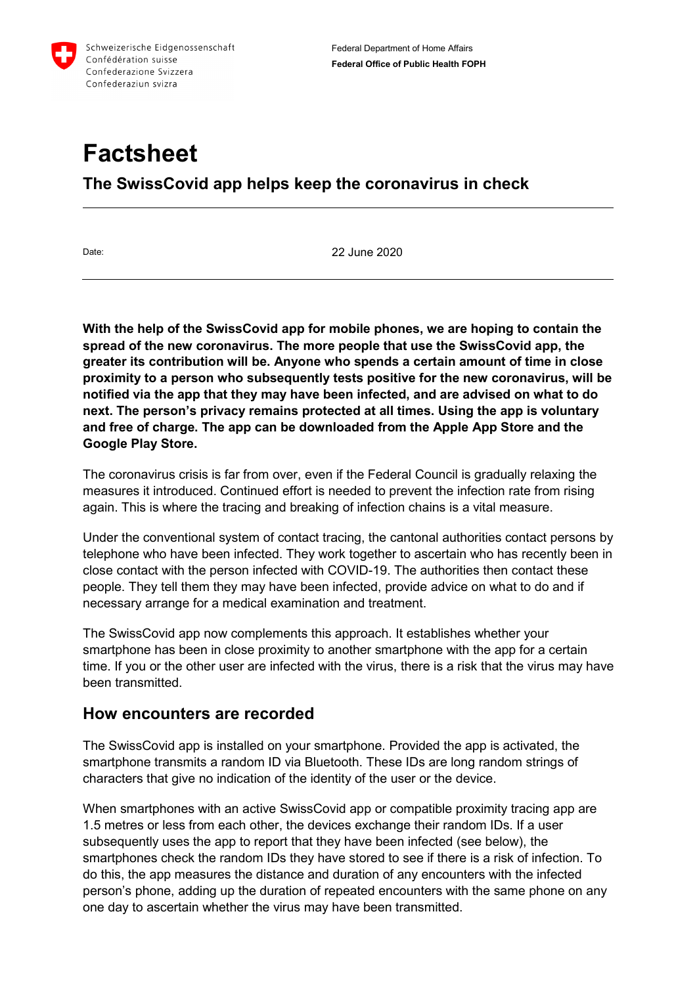

# **Factsheet**

## **The SwissCovid app helps keep the coronavirus in check**

Date: 22 June 2020

**With the help of the SwissCovid app for mobile phones, we are hoping to contain the spread of the new coronavirus. The more people that use the SwissCovid app, the greater its contribution will be. Anyone who spends a certain amount of time in close proximity to a person who subsequently tests positive for the new coronavirus, will be notified via the app that they may have been infected, and are advised on what to do next. The person's privacy remains protected at all times. Using the app is voluntary and free of charge. The app can be downloaded from the Apple App Store and the Google Play Store.** 

The coronavirus crisis is far from over, even if the Federal Council is gradually relaxing the measures it introduced. Continued effort is needed to prevent the infection rate from rising again. This is where the tracing and breaking of infection chains is a vital measure.

Under the conventional system of contact tracing, the cantonal authorities contact persons by telephone who have been infected. They work together to ascertain who has recently been in close contact with the person infected with COVID-19. The authorities then contact these people. They tell them they may have been infected, provide advice on what to do and if necessary arrange for a medical examination and treatment.

The SwissCovid app now complements this approach. It establishes whether your smartphone has been in close proximity to another smartphone with the app for a certain time. If you or the other user are infected with the virus, there is a risk that the virus may have been transmitted.

#### **How encounters are recorded**

The SwissCovid app is installed on your smartphone. Provided the app is activated, the smartphone transmits a random ID via Bluetooth. These IDs are long random strings of characters that give no indication of the identity of the user or the device.

When smartphones with an active SwissCovid app or compatible proximity tracing app are 1.5 metres or less from each other, the devices exchange their random IDs. If a user subsequently uses the app to report that they have been infected (see below), the smartphones check the random IDs they have stored to see if there is a risk of infection. To do this, the app measures the distance and duration of any encounters with the infected person's phone, adding up the duration of repeated encounters with the same phone on any one day to ascertain whether the virus may have been transmitted.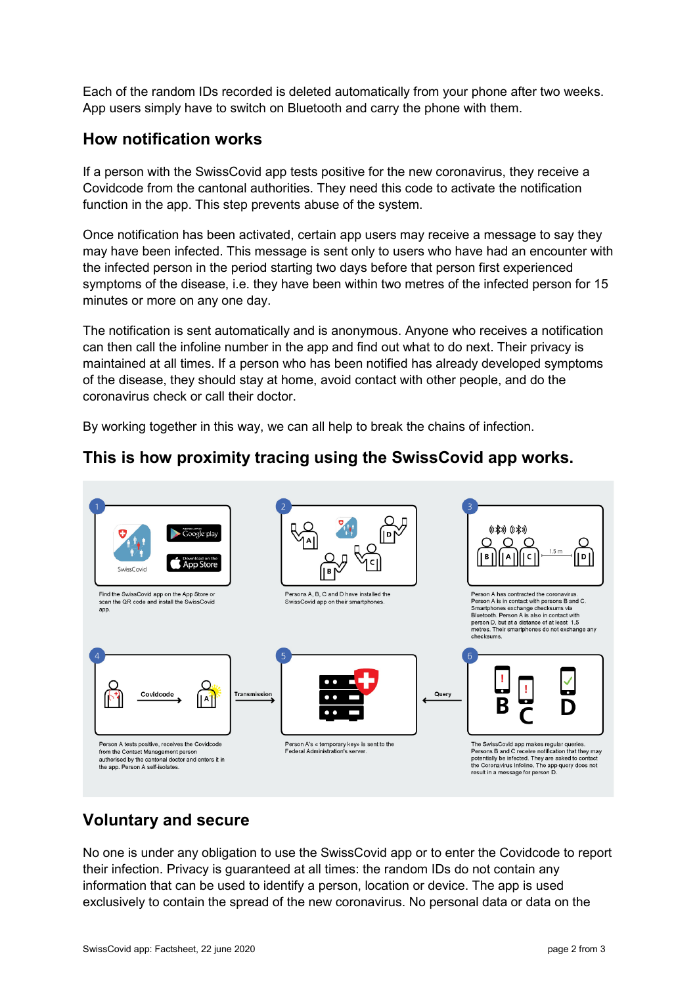Each of the random IDs recorded is deleted automatically from your phone after two weeks. App users simply have to switch on Bluetooth and carry the phone with them.

#### **How notification works**

If a person with the SwissCovid app tests positive for the new coronavirus, they receive a Covidcode from the cantonal authorities. They need this code to activate the notification function in the app. This step prevents abuse of the system.

Once notification has been activated, certain app users may receive a message to say they may have been infected. This message is sent only to users who have had an encounter with the infected person in the period starting two days before that person first experienced symptoms of the disease, i.e. they have been within two metres of the infected person for 15 minutes or more on any one day.

The notification is sent automatically and is anonymous. Anyone who receives a notification can then call the infoline number in the app and find out what to do next. Their privacy is maintained at all times. If a person who has been notified has already developed symptoms of the disease, they should stay at home, avoid contact with other people, and do the coronavirus check or call their doctor.

By working together in this way, we can all help to break the chains of infection.

## **This is how proximity tracing using the SwissCovid app works.**



### **Voluntary and secure**

No one is under any obligation to use the SwissCovid app or to enter the Covidcode to report their infection. Privacy is guaranteed at all times: the random IDs do not contain any information that can be used to identify a person, location or device. The app is used exclusively to contain the spread of the new coronavirus. No personal data or data on the